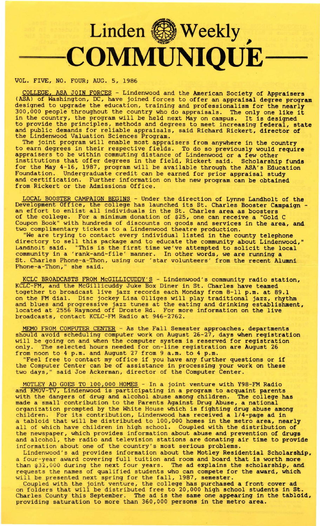## Linden <sup>SM</sup> Weekly **COMMUNIQUE-**

VOL. FIVE, NO. FOUR; AUG. 5, 1986

\_COLLEGE, ASA JOIN FORCES - Lindenwood and the American Society of **Appraisers**  (ASA) of Washington, DC, have joined forces to offer an appraisal degree program designed to upgrade the education, training and professionalism for the nearly 300,000 people throughout the country who do appraisals. The only one like it in the country, the program will be held next May on campus. It is designed to provide the principles, methods and degrees to meet increasing federal, state and public demands for reliable appraisals, said Richard Rickert, director of the Lindenwood Valuation Sciences Program.

The joint program will enable most appraisers from anywhere in the country to earn degrees in their respective fields. To do so previously would **require**  appraisers to be within commuting distance of Lindenwood or a few other institutions that offer degrees in the field, Rickert said. Scholarship funds for the May 4-16, 1987, program will be available through the ASA's Education Foundation. Undergraduate credit can be earned for prior appraisal study and certification. Further information on the new program can be obtained from Rickert or the Admissions Office.

LOCAL BOOSTER CAMPAIGN BEGINS - Under the direction of Lynne Landholt of the Development Office, the college has launched its St. Charles Booster Campaign - an effort to enlist all individuals in the St. Charles area as boosters of the college. For a minimum donation of \$25, one can receive a "Gold C Coupon Book" with hundreds of discounts on goods and services in the area, and two complimentary tickets to a Lindenwood theatre production.

"We are trying to contact every individual listed in the county telephone directory to sell this package and to educate the community about Lindenwood," Landholt said. "This is the first time we've attempted to solicit the local community in a 'rank-and-file' manner. In other words, we are running a St. Charles Phone-a-Thon, using our 'star volunteers' from the recent Alumni Phone-a-Thon," she said.

KCLC BROADCASTS FROM McGILLICUDDY'S - Lindenwood's community radio station, KCLC-FM, and the McGillicuddy Juke Box Diner in St. Charles have teamed together to broadcast live jazz records each Monday from 8-11 p.m. at 89.1 on the FM dial. Disc jockey Lisa Olliges will play traditional jazz, rhythm and blues and progressive jazz tunes at the eating and drinking establishment, located at 2556 Raymond off Droste Rd. For more information on the live broadcasts, contact KCLC-FM Radio at 946-2762.

MEMO FROM COMPUTER CENTER - As the Fall Semester approaches, departments should avoid scheduling computer work on August 26-27, days when registration will be going on and when the computer system is reserved for registration only. The selected hours needed for on-line registration are August 26 from noon to 4 p.m. and August 27 from 9 a.m. to 4 p.m.

Feel free to contact my office if you have any further questions or if the Computer Center can be of assistance in processing your work on these two days," said Joe Ackerman, director of the Computer Center.

MOTLEY AD GOES TO 100,000 HOMES - In a joint venture with Y98-FM Radio and KMOV-TV, Lindenwood is participating in a program to acquaint parents with the dangers of drug and alcohol abuse among children. The college has made a small contribution to the Parents Against Drug Abuse, a national organization prompted by the White House which is fighting drug abuse among children. For its contribution, Lindenwood has received a 1/4-page ad in a tabloid that will be distributed to 100,000 homes in the metro area, nearly a capion that will be distributed to 100,000 homes in the metro area, hearly the newspaper, which provides information about abuse and prevention of drugs and alcohol, the radio and television stations are donating air time to provide information about one of the country's most serious problems.

Lindenwood's ad provides information about the Motley Residential Scholarship, a four-year award covering full tuition and room and board that is worth more than \$32,000 during the next four years. The ad explains the scholarship, and requests the names of qualified students who can compete for the **award,** which requests the hames of quarified students who can compete for<br>will be presented next spring for the fall, 1987, semester.

Coupled with the joint venture, the college has purchased a front cover ad on folders that will be distributed free to 20,000 high school students in St. Charles County this September. The ad is the same one **appearing in** the tabloid, providing saturation to more than 360,000 persons in the metro area.